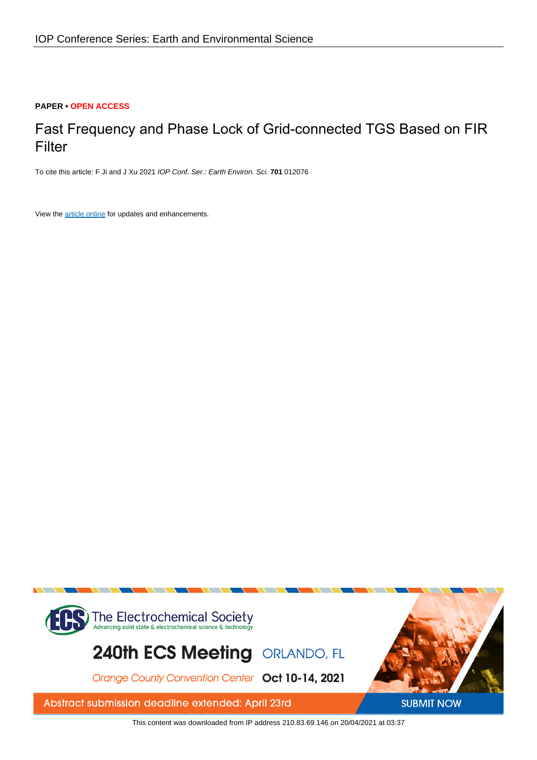## **PAPER • OPEN ACCESS**

# Fast Frequency and Phase Lock of Grid-connected TGS Based on FIR Filter

To cite this article: F Ji and J Xu 2021 IOP Conf. Ser.: Earth Environ. Sci. **701** 012076

View the [article online](https://doi.org/10.1088/1755-1315/701/1/012076) for updates and enhancements.



This content was downloaded from IP address 210.83.69.146 on 20/04/2021 at 03:37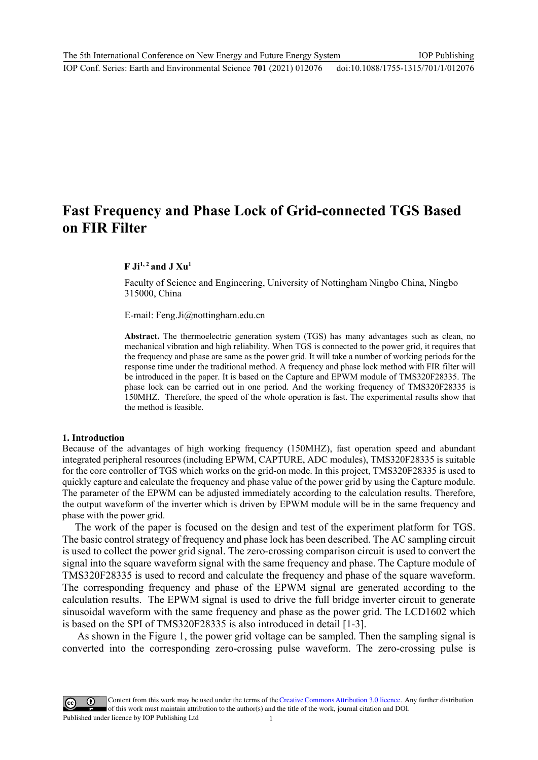# **Fast Frequency and Phase Lock of Grid-connected TGS Based on FIR Filter**

## **F Ji1, 2 and J Xu1**

Faculty of Science and Engineering, University of Nottingham Ningbo China, Ningbo 315000, China

E-mail: Feng.Ji@nottingham.edu.cn

**Abstract.** The thermoelectric generation system (TGS) has many advantages such as clean, no mechanical vibration and high reliability. When TGS is connected to the power grid, it requires that the frequency and phase are same as the power grid. It will take a number of working periods for the response time under the traditional method. A frequency and phase lock method with FIR filter will be introduced in the paper. It is based on the Capture and EPWM module of TMS320F28335. The phase lock can be carried out in one period. And the working frequency of TMS320F28335 is 150MHZ. Therefore, the speed of the whole operation is fast. The experimental results show that the method is feasible.

#### **1. Introduction**

Because of the advantages of high working frequency (150MHZ), fast operation speed and abundant integrated peripheral resources (including EPWM, CAPTURE, ADC modules), TMS320F28335 is suitable for the core controller of TGS which works on the grid-on mode. In this project, TMS320F28335 is used to quickly capture and calculate the frequency and phase value of the power grid by using the Capture module. The parameter of the EPWM can be adjusted immediately according to the calculation results. Therefore, the output waveform of the inverter which is driven by EPWM module will be in the same frequency and phase with the power grid.

The work of the paper is focused on the design and test of the experiment platform for TGS. The basic control strategy of frequency and phase lock has been described. The AC sampling circuit is used to collect the power grid signal. The zero-crossing comparison circuit is used to convert the signal into the square waveform signal with the same frequency and phase. The Capture module of TMS320F28335 is used to record and calculate the frequency and phase of the square waveform. The corresponding frequency and phase of the EPWM signal are generated according to the calculation results. The EPWM signal is used to drive the full bridge inverter circuit to generate sinusoidal waveform with the same frequency and phase as the power grid. The LCD1602 which is based on the SPI of TMS320F28335 is also introduced in detail [1-3].

 As shown in the Figure 1, the power grid voltage can be sampled. Then the sampling signal is converted into the corresponding zero-crossing pulse waveform. The zero-crossing pulse is

Content from this work may be used under the terms of theCreative Commons Attribution 3.0 licence. Any further distribution of this work must maintain attribution to the author(s) and the title of the work, journal citation and DOI. Published under licence by IOP Publishing Ltd 1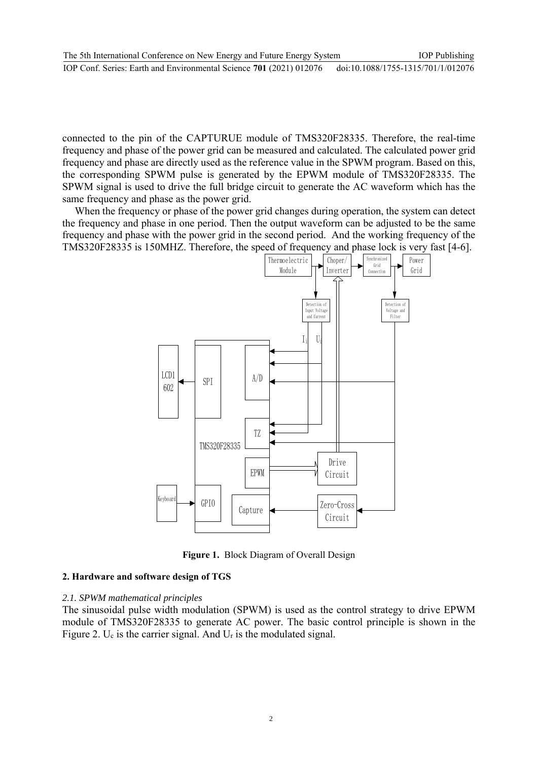connected to the pin of the CAPTURUE module of TMS320F28335. Therefore, the real-time frequency and phase of the power grid can be measured and calculated. The calculated power grid frequency and phase are directly used as the reference value in the SPWM program. Based on this, the corresponding SPWM pulse is generated by the EPWM module of TMS320F28335. The SPWM signal is used to drive the full bridge circuit to generate the AC waveform which has the same frequency and phase as the power grid.

When the frequency or phase of the power grid changes during operation, the system can detect the frequency and phase in one period. Then the output waveform can be adjusted to be the same frequency and phase with the power grid in the second period. And the working frequency of the TMS320F28335 is 150MHZ. Therefore, the speed of frequency and phase lock is very fast [4-6].



**Figure 1.** Block Diagram of Overall Design

# **2. Hardware and software design of TGS**

## *2.1. SPWM mathematical principles*

The sinusoidal pulse width modulation (SPWM) is used as the control strategy to drive EPWM module of TMS320F28335 to generate AC power. The basic control principle is shown in the Figure 2. U<sub>c</sub> is the carrier signal. And U<sub>r</sub> is the modulated signal.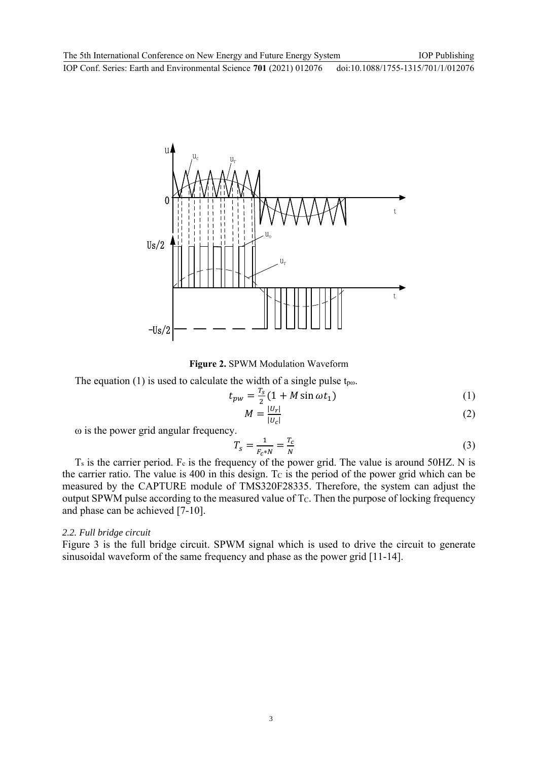

**Figure 2.** SPWM Modulation Waveform

The equation (1) is used to calculate the width of a single pulse  $t_{po}$ .

$$
t_{pw} = \frac{r_s}{2}(1 + M\sin\omega t_1) \tag{1}
$$

$$
M = \frac{|U_r|}{|U_c|} \tag{2}
$$

ω is the power grid angular frequency.

$$
T_s = \frac{1}{F_c * N} = \frac{T_c}{N}
$$
\n
$$
(3)
$$

 $T<sub>s</sub>$  is the carrier period. F<sub>c</sub> is the frequency of the power grid. The value is around 50HZ. N is the carrier ratio. The value is 400 in this design. To is the period of the power grid which can be measured by the CAPTURE module of TMS320F28335. Therefore, the system can adjust the output SPWM pulse according to the measured value of  $T<sub>C</sub>$ . Then the purpose of locking frequency and phase can be achieved [7-10].

#### *2.2. Full bridge circuit*

Figure 3 is the full bridge circuit. SPWM signal which is used to drive the circuit to generate sinusoidal waveform of the same frequency and phase as the power grid [11-14].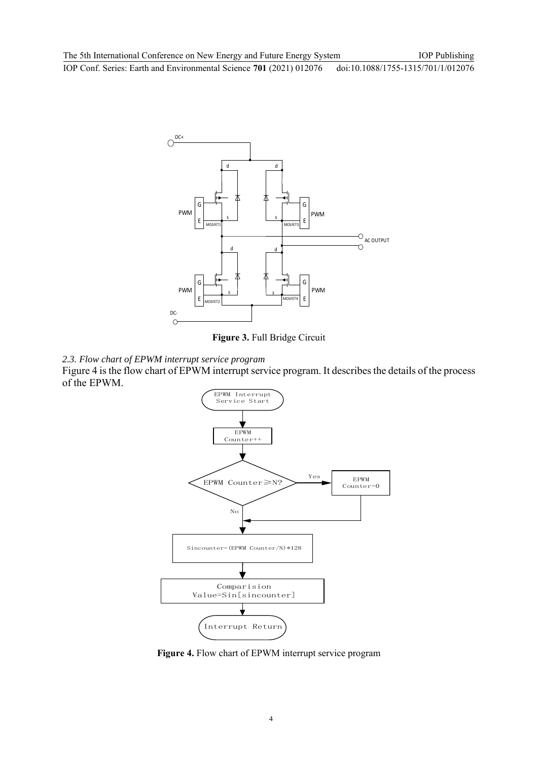

**Figure 3.** Full Bridge Circuit



Figure 4 is the flow chart of EPWM interrupt service program. It describes the details of the process of the EPWM.



**Figure 4.** Flow chart of EPWM interrupt service program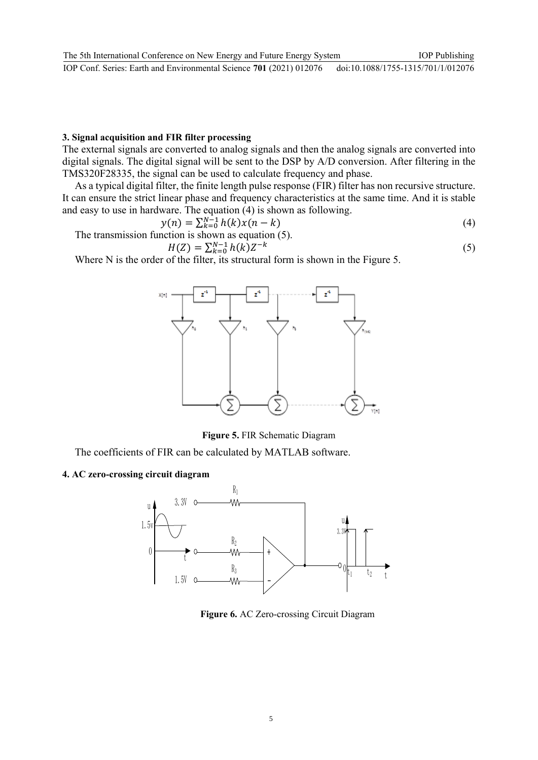#### **3. Signal acquisition and FIR filter processing**

The external signals are converted to analog signals and then the analog signals are converted into digital signals. The digital signal will be sent to the DSP by A/D conversion. After filtering in the TMS320F28335, the signal can be used to calculate frequency and phase.

As a typical digital filter, the finite length pulse response (FIR) filter has non recursive structure. It can ensure the strict linear phase and frequency characteristics at the same time. And it is stable and easy to use in hardware. The equation (4) is shown as following.

$$
y(n) = \sum_{k=0}^{N-1} h(k)x(n-k)
$$
 (4)

The transmission function is shown as equation (5).

$$
H(Z) = \sum_{k=0}^{N-1} h(k) Z^{-k}
$$
 (5)

Where N is the order of the filter, its structural form is shown in the Figure 5.



**Figure 5.** FIR Schematic Diagram

The coefficients of FIR can be calculated by MATLAB software.

#### **4. AC zero-crossing circuit diagram**



 **Figure 6.** AC Zero-crossing Circuit Diagram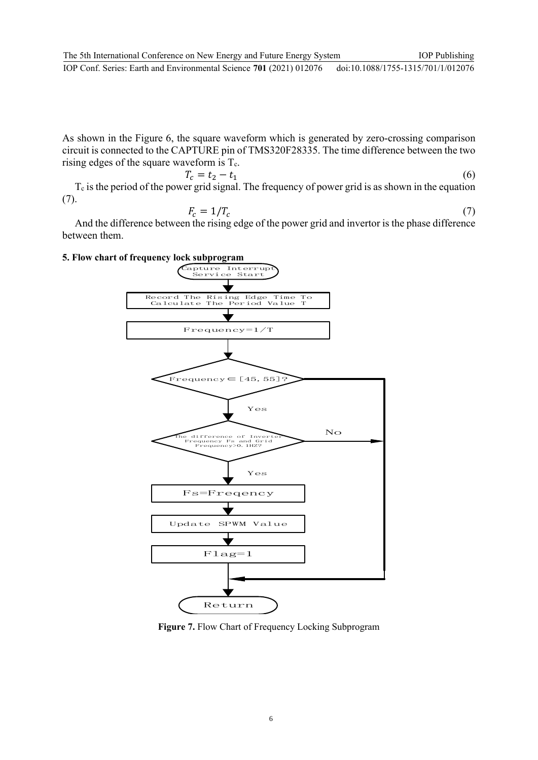As shown in the Figure 6, the square waveform which is generated by zero-crossing comparison circuit is connected to the CAPTURE pin of TMS320F28335. The time difference between the two rising edges of the square waveform is  $T_c$ .

$$
T_c = t_2 - t_1 \tag{6}
$$

 $T_c$  is the period of the power grid signal. The frequency of power grid is as shown in the equation  $(7).$ 

$$
F_c = 1/T_c \tag{7}
$$

And the difference between the rising edge of the power grid and invertor is the phase difference between them.

## **5. Flow chart of frequency lock subprogram**



**Figure 7.** Flow Chart of Frequency Locking Subprogram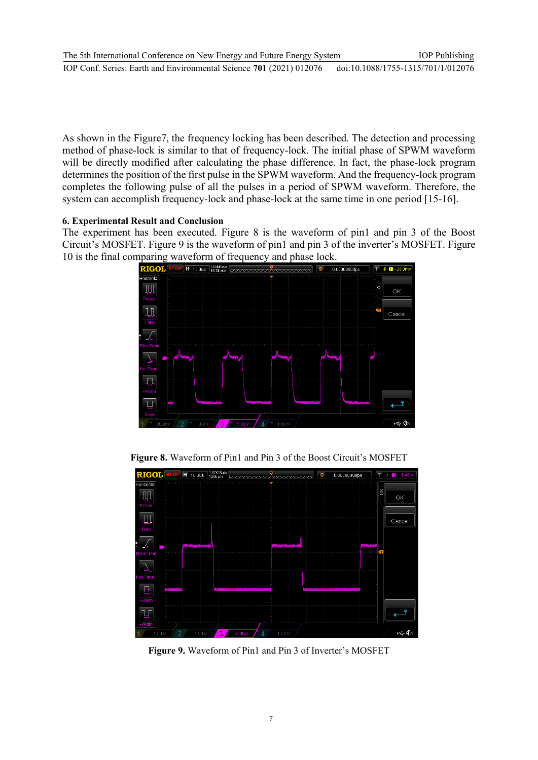As shown in the Figure7, the frequency locking has been described. The detection and processing method of phase-lock is similar to that of frequency-lock. The initial phase of SPWM waveform will be directly modified after calculating the phase difference. In fact, the phase-lock program determines the position of the first pulse in the SPWM waveform. And the frequency-lock program completes the following pulse of all the pulses in a period of SPWM waveform. Therefore, the system can accomplish frequency-lock and phase-lock at the same time in one period [15-16].

## **6. Experimental Result and Conclusion**

The experiment has been executed. Figure 8 is the waveform of pin1 and pin 3 of the Boost Circuit's MOSFET. Figure 9 is the waveform of pin1 and pin 3 of the inverter's MOSFET. Figure 10 is the final comparing waveform of frequency and phase lock.



**Figure 8.** Waveform of Pin1 and Pin 3 of the Boost Circuit's MOSFET



**Figure 9.** Waveform of Pin1 and Pin 3 of Inverter's MOSFET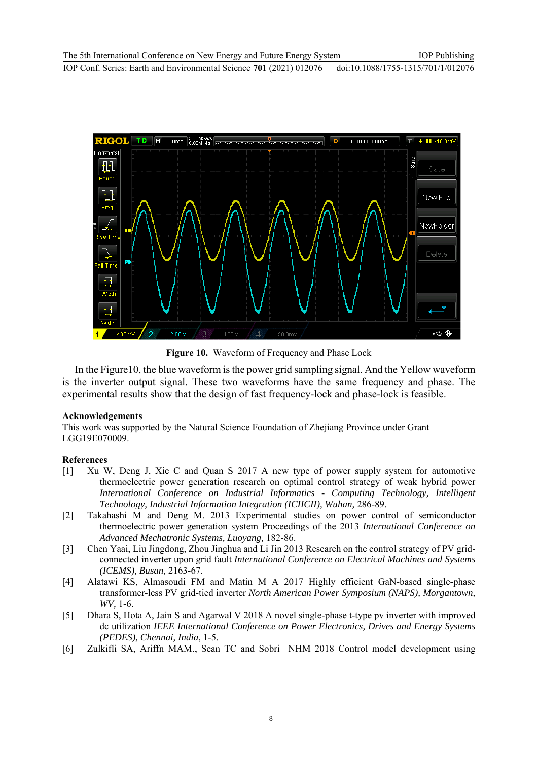

**Figure 10.** Waveform of Frequency and Phase Lock

In the Figure10, the blue waveform is the power grid sampling signal. And the Yellow waveform is the inverter output signal. These two waveforms have the same frequency and phase. The experimental results show that the design of fast frequency-lock and phase-lock is feasible.

# **Acknowledgements**

This work was supported by the Natural Science Foundation of Zhejiang Province under Grant LGG19E070009.

# **References**

- [1] Xu W, Deng J, Xie C and Quan S 2017 A new type of power supply system for automotive thermoelectric power generation research on optimal control strategy of weak hybrid power *International Conference on Industrial Informatics - Computing Technology, Intelligent Technology, Industrial Information Integration (ICIICII), Wuhan,* 286-89.
- [2] Takahashi M and Deng M. 2013 Experimental studies on power control of semiconductor thermoelectric power generation system Proceedings of the 2013 *International Conference on Advanced Mechatronic Systems, Luoyang,* 182-86.
- [3] Chen Yaai, Liu Jingdong, Zhou Jinghua and Li Jin 2013 Research on the control strategy of PV gridconnected inverter upon grid fault *International Conference on Electrical Machines and Systems (ICEMS), Busan,* 2163-67.
- [4] Alatawi KS, Almasoudi FM and Matin M A 2017 Highly efficient GaN-based single-phase transformer-less PV grid-tied inverter *North American Power Symposium (NAPS), Morgantown, WV,* 1-6.
- [5] Dhara S, Hota A, Jain S and Agarwal V 2018 A novel single-phase t-type pv inverter with improved dc utilization *IEEE International Conference on Power Electronics, Drives and Energy Systems (PEDES), Chennai, India*, 1-5.
- [6] Zulkifli SA, Ariffn MAM., Sean TC and Sobri NHM 2018 Control model development using